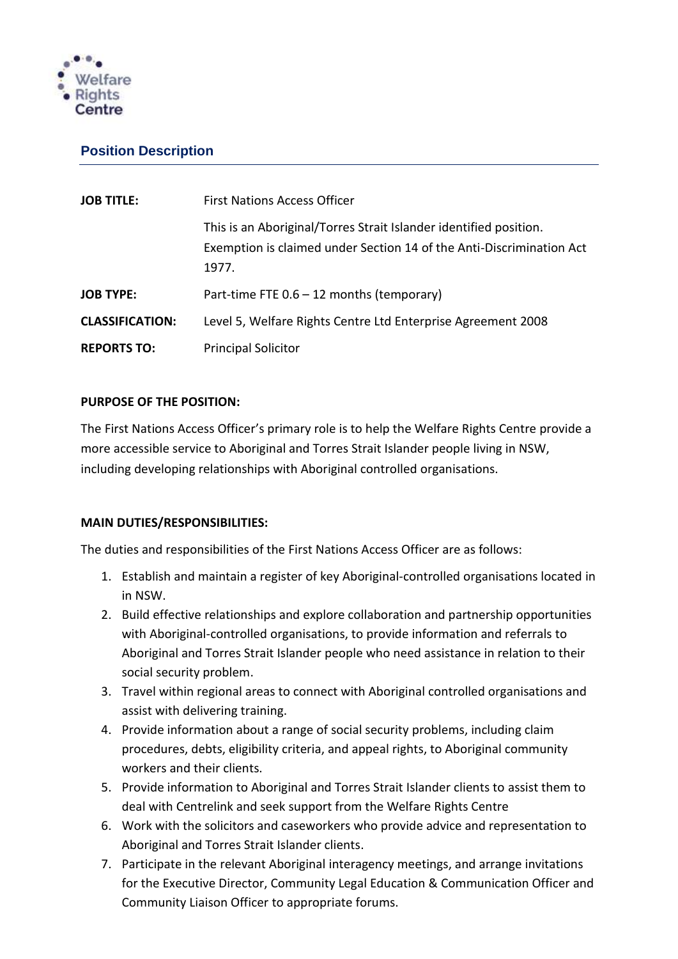

# **Position Description**

| <b>JOB TITLE:</b>      | <b>First Nations Access Officer</b>                                                                                                                |
|------------------------|----------------------------------------------------------------------------------------------------------------------------------------------------|
|                        | This is an Aboriginal/Torres Strait Islander identified position.<br>Exemption is claimed under Section 14 of the Anti-Discrimination Act<br>1977. |
| <b>JOB TYPE:</b>       | Part-time FTE 0.6 - 12 months (temporary)                                                                                                          |
| <b>CLASSIFICATION:</b> | Level 5, Welfare Rights Centre Ltd Enterprise Agreement 2008                                                                                       |
| <b>REPORTS TO:</b>     | <b>Principal Solicitor</b>                                                                                                                         |

#### **PURPOSE OF THE POSITION:**

The First Nations Access Officer's primary role is to help the Welfare Rights Centre provide a more accessible service to Aboriginal and Torres Strait Islander people living in NSW, including developing relationships with Aboriginal controlled organisations.

#### **MAIN DUTIES/RESPONSIBILITIES:**

The duties and responsibilities of the First Nations Access Officer are as follows:

- 1. Establish and maintain a register of key Aboriginal-controlled organisations located in in NSW.
- 2. Build effective relationships and explore collaboration and partnership opportunities with Aboriginal-controlled organisations, to provide information and referrals to Aboriginal and Torres Strait Islander people who need assistance in relation to their social security problem.
- 3. Travel within regional areas to connect with Aboriginal controlled organisations and assist with delivering training.
- 4. Provide information about a range of social security problems, including claim procedures, debts, eligibility criteria, and appeal rights, to Aboriginal community workers and their clients.
- 5. Provide information to Aboriginal and Torres Strait Islander clients to assist them to deal with Centrelink and seek support from the Welfare Rights Centre
- 6. Work with the solicitors and caseworkers who provide advice and representation to Aboriginal and Torres Strait Islander clients.
- 7. Participate in the relevant Aboriginal interagency meetings, and arrange invitations for the Executive Director, Community Legal Education & Communication Officer and Community Liaison Officer to appropriate forums.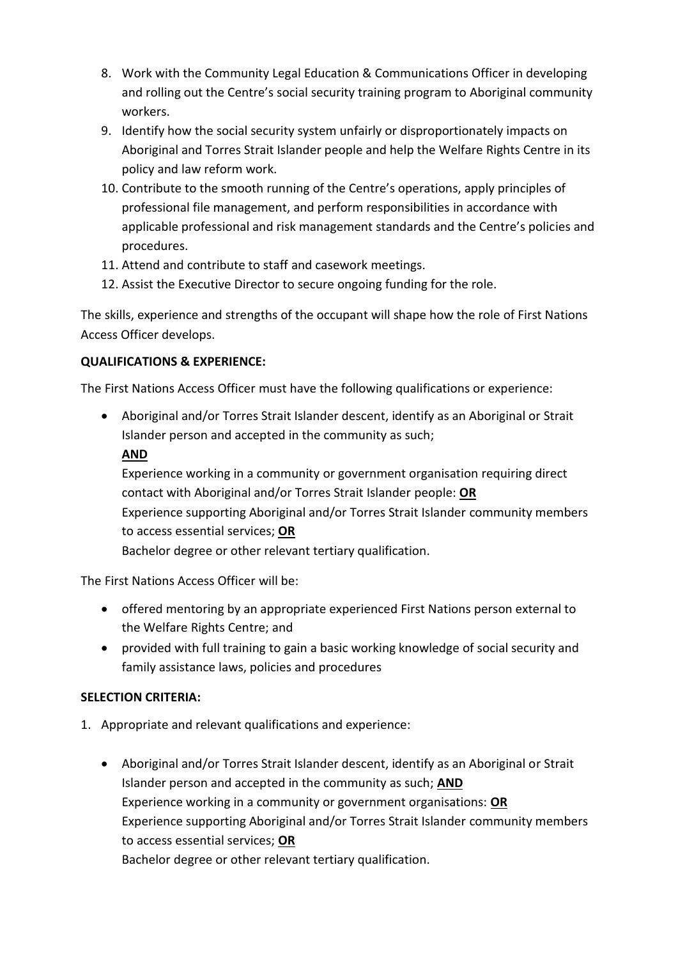- 8. Work with the Community Legal Education & Communications Officer in developing and rolling out the Centre's social security training program to Aboriginal community workers.
- 9. Identify how the social security system unfairly or disproportionately impacts on Aboriginal and Torres Strait Islander people and help the Welfare Rights Centre in its policy and law reform work.
- 10. Contribute to the smooth running of the Centre's operations, apply principles of professional file management, and perform responsibilities in accordance with applicable professional and risk management standards and the Centre's policies and procedures.
- 11. Attend and contribute to staff and casework meetings.
- 12. Assist the Executive Director to secure ongoing funding for the role.

The skills, experience and strengths of the occupant will shape how the role of First Nations Access Officer develops.

## **QUALIFICATIONS & EXPERIENCE:**

The First Nations Access Officer must have the following qualifications or experience:

 Aboriginal and/or Torres Strait Islander descent, identify as an Aboriginal or Strait Islander person and accepted in the community as such;

## **AND**

Experience working in a community or government organisation requiring direct contact with Aboriginal and/or Torres Strait Islander people: **OR** Experience supporting Aboriginal and/or Torres Strait Islander community members to access essential services; **OR** Bachelor degree or other relevant tertiary qualification.

The First Nations Access Officer will be:

- offered mentoring by an appropriate experienced First Nations person external to the Welfare Rights Centre; and
- provided with full training to gain a basic working knowledge of social security and family assistance laws, policies and procedures

## **SELECTION CRITERIA:**

- 1. Appropriate and relevant qualifications and experience:
	- Aboriginal and/or Torres Strait Islander descent, identify as an Aboriginal or Strait Islander person and accepted in the community as such; **AND** Experience working in a community or government organisations: **OR** Experience supporting Aboriginal and/or Torres Strait Islander community members to access essential services; **OR** Bachelor degree or other relevant tertiary qualification.